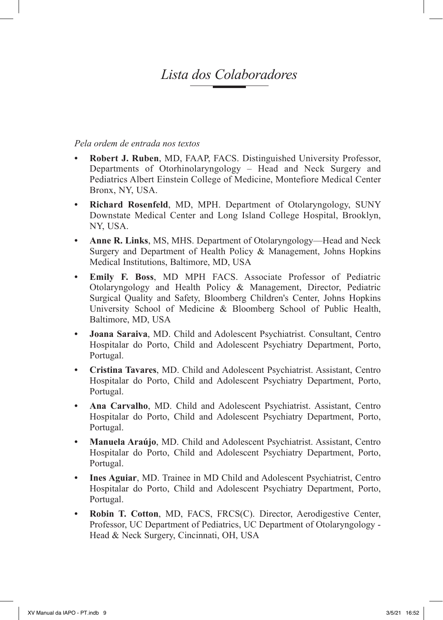## *Lista dos Colaboradores*

## *Pela ordem de entrada nos textos*

- **Robert J. Ruben, MD. FAAP, FACS. Distinguished University Professor,** Departments of Otorhinolaryngology – Head and Neck Surgery and Pediatrics Albert Einstein College of Medicine, Montefiore Medical Center Bronx, NY, USA.
- **• Richard Rosenfeld**, MD, MPH. Department of Otolaryngology, SUNY Downstate Medical Center and Long Island College Hospital, Brooklyn, NY, USA.
- **• Anne R. Links**, MS, MHS. Department of Otolaryngology—Head and Neck Surgery and Department of Health Policy & Management, Johns Hopkins Medical Institutions, Baltimore, MD, USA
- **• Emily F. Boss**, MD MPH FACS. Associate Professor of Pediatric Otolaryngology and Health Policy & Management, Director, Pediatric Surgical Quality and Safety, Bloomberg Children's Center, Johns Hopkins University School of Medicine & Bloomberg School of Public Health, Baltimore, MD, USA
- **• Joana Saraiva**, MD. Child and Adolescent Psychiatrist. Consultant, Centro Hospitalar do Porto, Child and Adolescent Psychiatry Department, Porto, Portugal.
- **• Cristina Tavares**, MD. Child and Adolescent Psychiatrist. Assistant, Centro Hospitalar do Porto, Child and Adolescent Psychiatry Department, Porto, Portugal.
- **• Ana Carvalho**, MD. Child and Adolescent Psychiatrist. Assistant, Centro Hospitalar do Porto, Child and Adolescent Psychiatry Department, Porto, Portugal.
- **• Manuela Araújo**, MD. Child and Adolescent Psychiatrist. Assistant, Centro Hospitalar do Porto, Child and Adolescent Psychiatry Department, Porto, Portugal.
- **• Ines Aguiar**, MD. Trainee in MD Child and Adolescent Psychiatrist, Centro Hospitalar do Porto, Child and Adolescent Psychiatry Department, Porto, Portugal.
- **• Robin T. Cotton**, MD, FACS, FRCS(C). Director, Aerodigestive Center, Professor, UC Department of Pediatrics, UC Department of Otolaryngology - Head & Neck Surgery, Cincinnati, OH, USA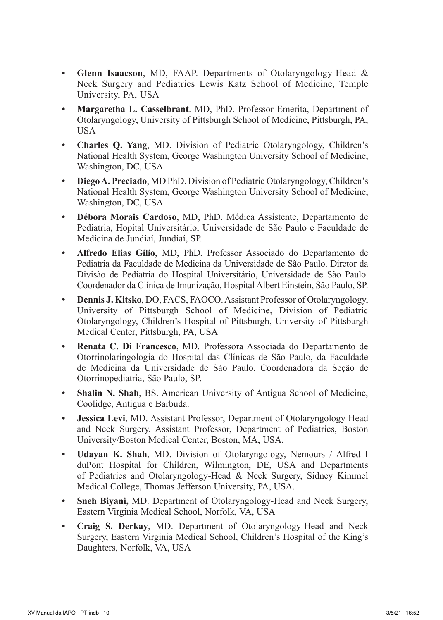- **• Glenn Isaacson**, MD, FAAP. Departments of Otolaryngology-Head & Neck Surgery and Pediatrics Lewis Katz School of Medicine, Temple University, PA, USA
- **• Margaretha L. Casselbrant**. MD, PhD. Professor Emerita, Department of Otolaryngology, University of Pittsburgh School of Medicine, Pittsburgh, PA, USA
- **• Charles Q. Yang**, MD. Division of Pediatric Otolaryngology, Children's National Health System, George Washington University School of Medicine, Washington, DC, USA
- **• DiegoA. Preciado**, MD PhD. Division of Pediatric Otolaryngology, Children's National Health System, George Washington University School of Medicine, Washington, DC, USA
- **• Débora Morais Cardoso**, MD, PhD. Médica Assistente, Departamento de Pediatria, Hopital Universitário, Universidade de São Paulo e Faculdade de Medicina de Jundiaí, Jundiaí, SP.
- **• Alfredo Elias Gilio**, MD, PhD. Professor Associado do Departamento de Pediatria da Faculdade de Medicina da Universidade de São Paulo. Diretor da Divisão de Pediatria do Hospital Universitário, Universidade de São Paulo. Coordenador da Clínica de Imunização, Hospital Albert Einstein, São Paulo, SP.
- **• Dennis J. Kitsko**, DO, FACS, FAOCO. Assistant Professor of Otolaryngology, University of Pittsburgh School of Medicine, Division of Pediatric Otolaryngology, Children's Hospital of Pittsburgh, University of Pittsburgh Medical Center, Pittsburgh, PA, USA
- **• Renata C. Di Francesco**, MD. Professora Associada do Departamento de Otorrinolaringologia do Hospital das Clínicas de São Paulo, da Faculdade de Medicina da Universidade de São Paulo. Coordenadora da Seção de Otorrinopediatria, São Paulo, SP.
- **• Shalin N. Shah**, BS. American University of Antigua School of Medicine, Coolidge, Antigua e Barbuda.
- **• Jessica Levi**, MD. Assistant Professor, Department of Otolaryngology Head and Neck Surgery. Assistant Professor, Department of Pediatrics, Boston University/Boston Medical Center, Boston, MA, USA.
- **• Udayan K. Shah**, MD. Division of Otolaryngology, Nemours / Alfred I duPont Hospital for Children, Wilmington, DE, USA and Departments of Pediatrics and Otolaryngology-Head & Neck Surgery, Sidney Kimmel Medical College, Thomas Jefferson University, PA, USA.
- **• Sneh Biyani,** MD. Department of Otolaryngology-Head and Neck Surgery, Eastern Virginia Medical School, Norfolk, VA, USA
- **• Craig S. Derkay**, MD. Department of Otolaryngology-Head and Neck Surgery, Eastern Virginia Medical School, Children's Hospital of the King's Daughters, Norfolk, VA, USA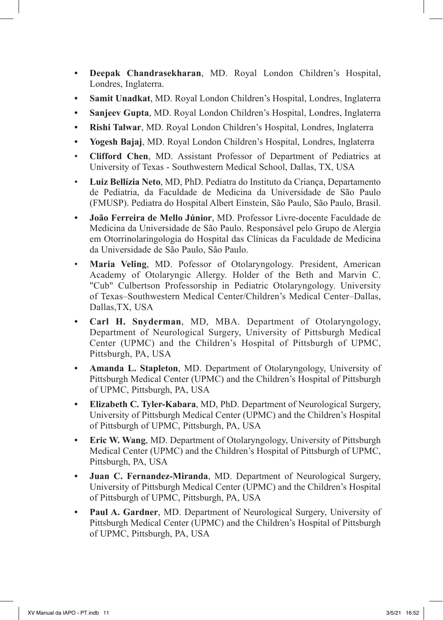- **• Deepak Chandrasekharan**, MD. Royal London Children's Hospital, Londres, Inglaterra.
- **• Samit Unadkat**, MD. Royal London Children's Hospital, Londres, Inglaterra
- **• Sanjeev Gupta**, MD. Royal London Children's Hospital, Londres, Inglaterra
- **• Rishi Talwar**, MD. Royal London Children's Hospital, Londres, Inglaterra
- **• Yogesh Bajaj**, MD. Royal London Children's Hospital, Londres, Inglaterra
- • **Clifford Chen**, MD. Assistant Professor of Department of Pediatrics at University of Texas - Southwestern Medical School, Dallas, TX, USA
- • **Luiz Bellízia Neto**, MD, PhD. Pediatra do Instituto da Criança, Departamento de Pediatria, da Faculdade de Medicina da Universidade de São Paulo (FMUSP). Pediatra do Hospital Albert Einstein, São Paulo, São Paulo, Brasil.
- **• João Ferreira de Mello Júnior**, MD. Professor Livre-docente Faculdade de Medicina da Universidade de São Paulo. Responsável pelo Grupo de Alergia em Otorrinolaringologia do Hospital das Clínicas da Faculdade de Medicina da Universidade de São Paulo, São Paulo.
- **Maria Veling**, MD. Pofessor of Otolaryngology. President, American Academy of Otolaryngic Allergy. Holder of the Beth and Marvin C. "Cub" Culbertson Professorship in Pediatric Otolaryngology. University of Texas–Southwestern Medical Center/Children's Medical Center–Dallas, Dallas,TX, USA
- **• Carl H. Snyderman**, MD, MBA. Department of Otolaryngology, Department of Neurological Surgery, University of Pittsburgh Medical Center (UPMC) and the Children's Hospital of Pittsburgh of UPMC, Pittsburgh, PA, USA
- **• Amanda L. Stapleton**, MD. Department of Otolaryngology, University of Pittsburgh Medical Center (UPMC) and the Children's Hospital of Pittsburgh of UPMC, Pittsburgh, PA, USA
- **• Elizabeth C. Tyler-Kabara**, MD, PhD. Department of Neurological Surgery, University of Pittsburgh Medical Center (UPMC) and the Children's Hospital of Pittsburgh of UPMC, Pittsburgh, PA, USA
- **• Eric W. Wang**, MD. Department of Otolaryngology, University of Pittsburgh Medical Center (UPMC) and the Children's Hospital of Pittsburgh of UPMC, Pittsburgh, PA, USA
- **• Juan C. Fernandez-Miranda**, MD. Department of Neurological Surgery, University of Pittsburgh Medical Center (UPMC) and the Children's Hospital of Pittsburgh of UPMC, Pittsburgh, PA, USA
- **• Paul A. Gardner**, MD. Department of Neurological Surgery, University of Pittsburgh Medical Center (UPMC) and the Children's Hospital of Pittsburgh of UPMC, Pittsburgh, PA, USA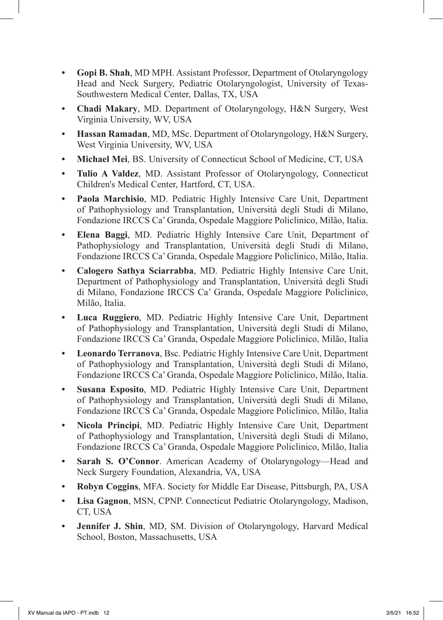- **• Gopi B. Shah**, MD MPH. Assistant Professor, Department of Otolaryngology Head and Neck Surgery, Pediatric Otolaryngologist, University of Texas-Southwestern Medical Center, Dallas, TX, USA
- **• Chadi Makary**, MD. Department of Otolaryngology, H&N Surgery, West Virginia University, WV, USA
- **• Hassan Ramadan**, MD, MSc. Department of Otolaryngology, H&N Surgery, West Virginia University, WV, USA
- **• Michael Mei**, BS. University of Connecticut School of Medicine, CT, USA
- **• Tulio A Valdez**, MD. Assistant Professor of Otolaryngology, Connecticut Children's Medical Center, Hartford, CT, USA.
- **• Paola Marchisio**, MD. Pediatric Highly Intensive Care Unit, Department of Pathophysiology and Transplantation, Università degli Studi di Milano, Fondazione IRCCS Ca' Granda, Ospedale Maggiore Policlinico, Milão, Italia.
- **• Elena Baggi**, MD. Pediatric Highly Intensive Care Unit, Department of Pathophysiology and Transplantation, Università degli Studi di Milano, Fondazione IRCCS Ca' Granda, Ospedale Maggiore Policlinico, Milão, Italia.
- **• Calogero Sathya Sciarrabba**, MD. Pediatric Highly Intensive Care Unit, Department of Pathophysiology and Transplantation, Università degli Studi di Milano, Fondazione IRCCS Ca' Granda, Ospedale Maggiore Policlinico, Milão, Italia.
- **• Luca Ruggiero**, MD. Pediatric Highly Intensive Care Unit, Department of Pathophysiology and Transplantation, Università degli Studi di Milano, Fondazione IRCCS Ca' Granda, Ospedale Maggiore Policlinico, Milão, Italia
- **• Leonardo Terranova**, Bsc. Pediatric Highly Intensive Care Unit, Department of Pathophysiology and Transplantation, Università degli Studi di Milano, Fondazione IRCCS Ca' Granda, Ospedale Maggiore Policlinico, Milão, Italia.
- **• Susana Esposito**, MD. Pediatric Highly Intensive Care Unit, Department of Pathophysiology and Transplantation, Università degli Studi di Milano, Fondazione IRCCS Ca' Granda, Ospedale Maggiore Policlinico, Milão, Italia
- **• Nicola Principi**, MD. Pediatric Highly Intensive Care Unit, Department of Pathophysiology and Transplantation, Università degli Studi di Milano, Fondazione IRCCS Ca' Granda, Ospedale Maggiore Policlinico, Milão, Italia
- **• Sarah S. O'Connor**. American Academy of Otolaryngology—Head and Neck Surgery Foundation, Alexandria, VA, USA
- **• Robyn Coggins**, MFA. Society for Middle Ear Disease, Pittsburgh, PA, USA
- **• Lisa Gagnon**, MSN, CPNP. Connecticut Pediatric Otolaryngology, Madison, CT, USA
- **• Jennifer J. Shin**, MD, SM. Division of Otolaryngology, Harvard Medical School, Boston, Massachusetts, USA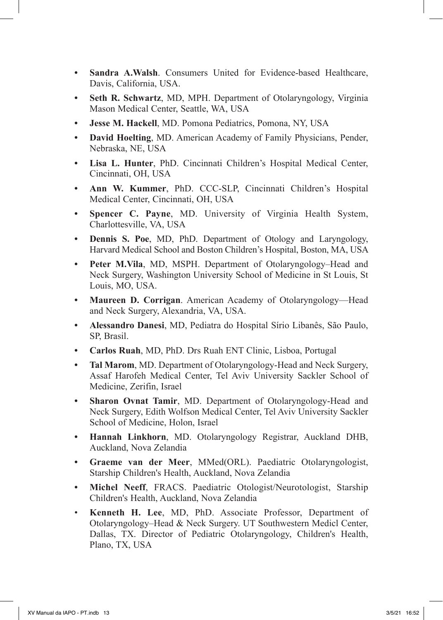- **• Sandra A.Walsh**. Consumers United for Evidence-based Healthcare, Davis, California, USA.
- **• Seth R. Schwartz**, MD, MPH. Department of Otolaryngology, Virginia Mason Medical Center, Seattle, WA, USA
- **• Jesse M. Hackell**, MD. Pomona Pediatrics, Pomona, NY, USA
- **• David Hoelting**, MD. American Academy of Family Physicians, Pender, Nebraska, NE, USA
- **• Lisa L. Hunter**, PhD. Cincinnati Children's Hospital Medical Center, Cincinnati, OH, USA
- **• Ann W. Kummer**, PhD. CCC-SLP, Cincinnati Children's Hospital Medical Center, Cincinnati, OH, USA
- **• Spencer C. Payne**, MD. University of Virginia Health System, Charlottesville, VA, USA
- **• Dennis S. Poe**, MD, PhD. Department of Otology and Laryngology, Harvard Medical School and Boston Children's Hospital, Boston, MA, USA
- **• Peter M.Vila**, MD, MSPH. Department of Otolaryngology–Head and Neck Surgery, Washington University School of Medicine in St Louis, St Louis, MO, USA.
- **• Maureen D. Corrigan**. American Academy of Otolaryngology—Head and Neck Surgery, Alexandria, VA, USA.
- **• Alessandro Danesi**, MD, Pediatra do Hospital Sírio Libanês, São Paulo, SP, Brasil.
- **• Carlos Ruah**, MD, PhD. Drs Ruah ENT Clinic, Lisboa, Portugal
- **• Tal Marom**, MD. Department of Otolaryngology-Head and Neck Surgery, Assaf Harofeh Medical Center, Tel Aviv University Sackler School of Medicine, Zerifin, Israel
- **• Sharon Ovnat Tamir**, MD. Department of Otolaryngology-Head and Neck Surgery, Edith Wolfson Medical Center, Tel Aviv University Sackler School of Medicine, Holon, Israel
- **• Hannah Linkhorn**, MD. Otolaryngology Registrar, Auckland DHB, Auckland, Nova Zelandia
- **• Graeme van der Meer**, MMed(ORL). Paediatric Otolaryngologist, Starship Children's Health, Auckland, Nova Zelandia
- **• Michel Neeff**, FRACS. Paediatric Otologist/Neurotologist, Starship Children's Health, Auckland, Nova Zelandia
- • **Kenneth H. Lee**, MD, PhD. Associate Professor, Department of Otolaryngology–Head & Neck Surgery. UT Southwestern Medicl Center, Dallas, TX. Director of Pediatric Otolaryngology, Children's Health, Plano, TX, USA